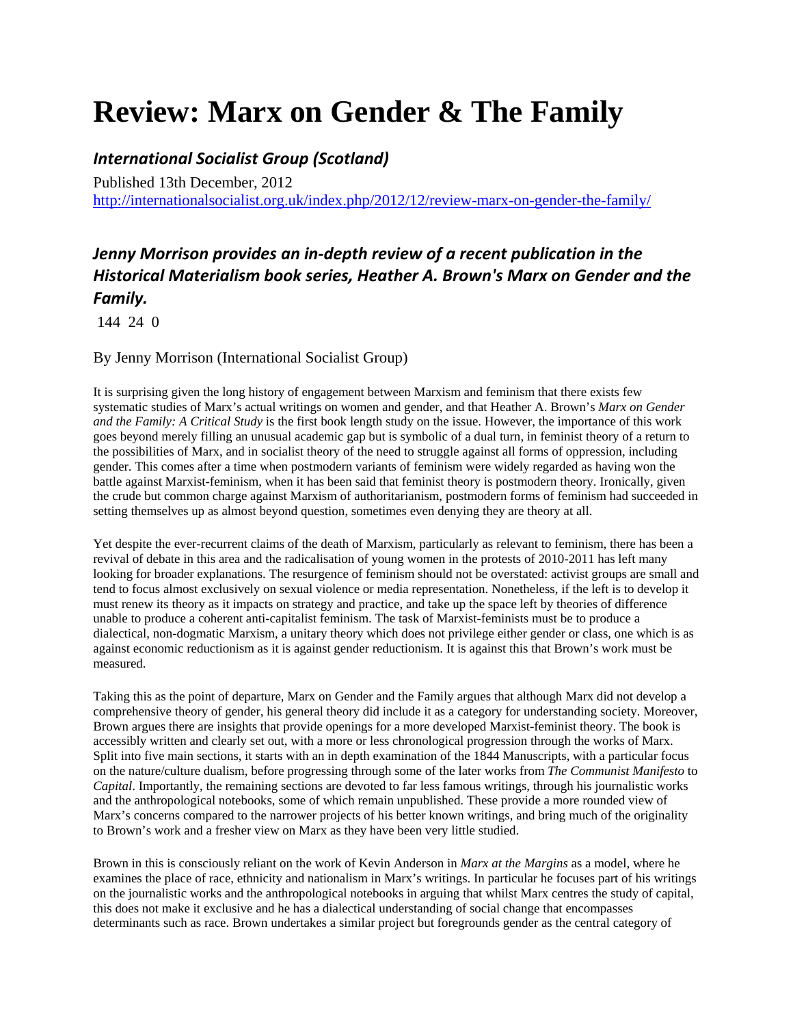## **Review: Marx on Gender & The Family**

## *International Socialist Group (Scotland)*

Published 13th December, 2012 http://internationalsocialist.org.uk/index.php/2012/12/review-marx-on-gender-the-family/

## *Jenny Morrison provides an in‐depth review of a recent publication in the Historical Materialism book series, Heather A. Brown's Marx on Gender and the Family.*

144 24 0

By Jenny Morrison (International Socialist Group)

It is surprising given the long history of engagement between Marxism and feminism that there exists few systematic studies of Marx's actual writings on women and gender, and that Heather A. Brown's *Marx on Gender and the Family: A Critical Study* is the first book length study on the issue. However, the importance of this work goes beyond merely filling an unusual academic gap but is symbolic of a dual turn, in feminist theory of a return to the possibilities of Marx, and in socialist theory of the need to struggle against all forms of oppression, including gender. This comes after a time when postmodern variants of feminism were widely regarded as having won the battle against Marxist-feminism, when it has been said that feminist theory is postmodern theory. Ironically, given the crude but common charge against Marxism of authoritarianism, postmodern forms of feminism had succeeded in setting themselves up as almost beyond question, sometimes even denying they are theory at all.

Yet despite the ever-recurrent claims of the death of Marxism, particularly as relevant to feminism, there has been a revival of debate in this area and the radicalisation of young women in the protests of 2010-2011 has left many looking for broader explanations. The resurgence of feminism should not be overstated: activist groups are small and tend to focus almost exclusively on sexual violence or media representation. Nonetheless, if the left is to develop it must renew its theory as it impacts on strategy and practice, and take up the space left by theories of difference unable to produce a coherent anti-capitalist feminism. The task of Marxist-feminists must be to produce a dialectical, non-dogmatic Marxism, a unitary theory which does not privilege either gender or class, one which is as against economic reductionism as it is against gender reductionism. It is against this that Brown's work must be measured.

Taking this as the point of departure, Marx on Gender and the Family argues that although Marx did not develop a comprehensive theory of gender, his general theory did include it as a category for understanding society. Moreover, Brown argues there are insights that provide openings for a more developed Marxist-feminist theory. The book is accessibly written and clearly set out, with a more or less chronological progression through the works of Marx. Split into five main sections, it starts with an in depth examination of the 1844 Manuscripts, with a particular focus on the nature/culture dualism, before progressing through some of the later works from *The Communist Manifesto* to *Capital*. Importantly, the remaining sections are devoted to far less famous writings, through his journalistic works and the anthropological notebooks, some of which remain unpublished. These provide a more rounded view of Marx's concerns compared to the narrower projects of his better known writings, and bring much of the originality to Brown's work and a fresher view on Marx as they have been very little studied.

Brown in this is consciously reliant on the work of Kevin Anderson in *Marx at the Margins* as a model, where he examines the place of race, ethnicity and nationalism in Marx's writings. In particular he focuses part of his writings on the journalistic works and the anthropological notebooks in arguing that whilst Marx centres the study of capital, this does not make it exclusive and he has a dialectical understanding of social change that encompasses determinants such as race. Brown undertakes a similar project but foregrounds gender as the central category of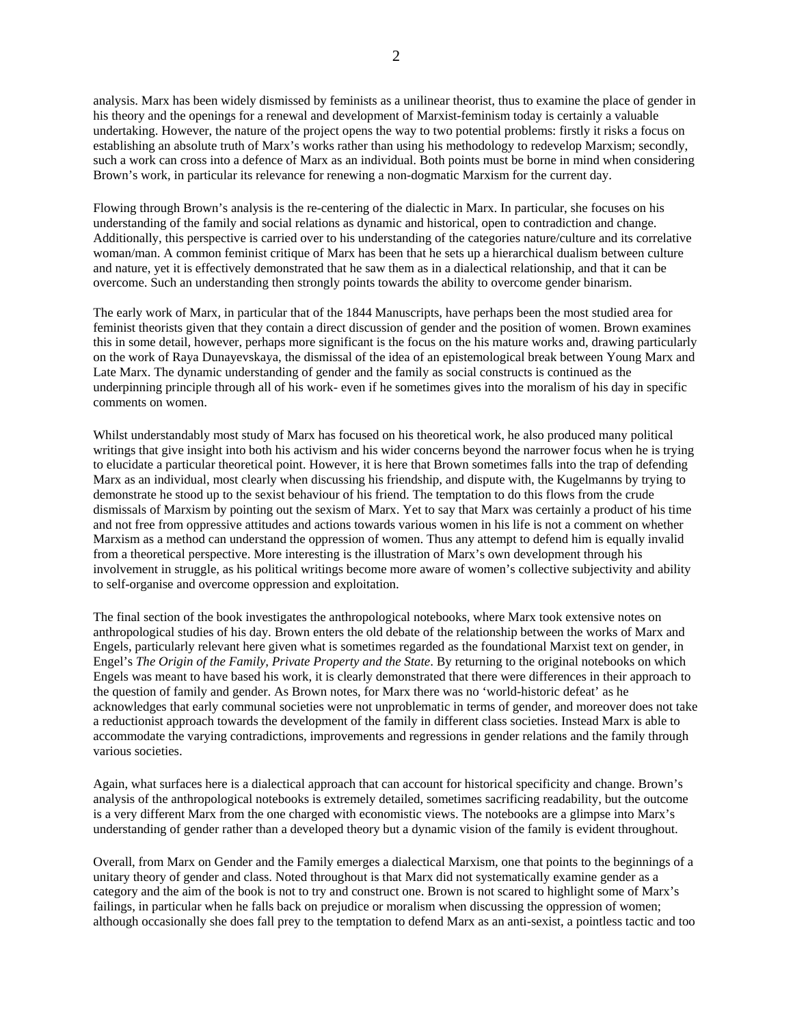analysis. Marx has been widely dismissed by feminists as a unilinear theorist, thus to examine the place of gender in his theory and the openings for a renewal and development of Marxist-feminism today is certainly a valuable undertaking. However, the nature of the project opens the way to two potential problems: firstly it risks a focus on establishing an absolute truth of Marx's works rather than using his methodology to redevelop Marxism; secondly, such a work can cross into a defence of Marx as an individual. Both points must be borne in mind when considering Brown's work, in particular its relevance for renewing a non-dogmatic Marxism for the current day.

Flowing through Brown's analysis is the re-centering of the dialectic in Marx. In particular, she focuses on his understanding of the family and social relations as dynamic and historical, open to contradiction and change. Additionally, this perspective is carried over to his understanding of the categories nature/culture and its correlative woman/man. A common feminist critique of Marx has been that he sets up a hierarchical dualism between culture and nature, yet it is effectively demonstrated that he saw them as in a dialectical relationship, and that it can be overcome. Such an understanding then strongly points towards the ability to overcome gender binarism.

The early work of Marx, in particular that of the 1844 Manuscripts, have perhaps been the most studied area for feminist theorists given that they contain a direct discussion of gender and the position of women. Brown examines this in some detail, however, perhaps more significant is the focus on the his mature works and, drawing particularly on the work of Raya Dunayevskaya, the dismissal of the idea of an epistemological break between Young Marx and Late Marx. The dynamic understanding of gender and the family as social constructs is continued as the underpinning principle through all of his work- even if he sometimes gives into the moralism of his day in specific comments on women.

Whilst understandably most study of Marx has focused on his theoretical work, he also produced many political writings that give insight into both his activism and his wider concerns beyond the narrower focus when he is trying to elucidate a particular theoretical point. However, it is here that Brown sometimes falls into the trap of defending Marx as an individual, most clearly when discussing his friendship, and dispute with, the Kugelmanns by trying to demonstrate he stood up to the sexist behaviour of his friend. The temptation to do this flows from the crude dismissals of Marxism by pointing out the sexism of Marx. Yet to say that Marx was certainly a product of his time and not free from oppressive attitudes and actions towards various women in his life is not a comment on whether Marxism as a method can understand the oppression of women. Thus any attempt to defend him is equally invalid from a theoretical perspective. More interesting is the illustration of Marx's own development through his involvement in struggle, as his political writings become more aware of women's collective subjectivity and ability to self-organise and overcome oppression and exploitation.

The final section of the book investigates the anthropological notebooks, where Marx took extensive notes on anthropological studies of his day. Brown enters the old debate of the relationship between the works of Marx and Engels, particularly relevant here given what is sometimes regarded as the foundational Marxist text on gender, in Engel's *The Origin of the Family, Private Property and the State*. By returning to the original notebooks on which Engels was meant to have based his work, it is clearly demonstrated that there were differences in their approach to the question of family and gender. As Brown notes, for Marx there was no 'world-historic defeat' as he acknowledges that early communal societies were not unproblematic in terms of gender, and moreover does not take a reductionist approach towards the development of the family in different class societies. Instead Marx is able to accommodate the varying contradictions, improvements and regressions in gender relations and the family through various societies.

Again, what surfaces here is a dialectical approach that can account for historical specificity and change. Brown's analysis of the anthropological notebooks is extremely detailed, sometimes sacrificing readability, but the outcome is a very different Marx from the one charged with economistic views. The notebooks are a glimpse into Marx's understanding of gender rather than a developed theory but a dynamic vision of the family is evident throughout.

Overall, from Marx on Gender and the Family emerges a dialectical Marxism, one that points to the beginnings of a unitary theory of gender and class. Noted throughout is that Marx did not systematically examine gender as a category and the aim of the book is not to try and construct one. Brown is not scared to highlight some of Marx's failings, in particular when he falls back on prejudice or moralism when discussing the oppression of women; although occasionally she does fall prey to the temptation to defend Marx as an anti-sexist, a pointless tactic and too